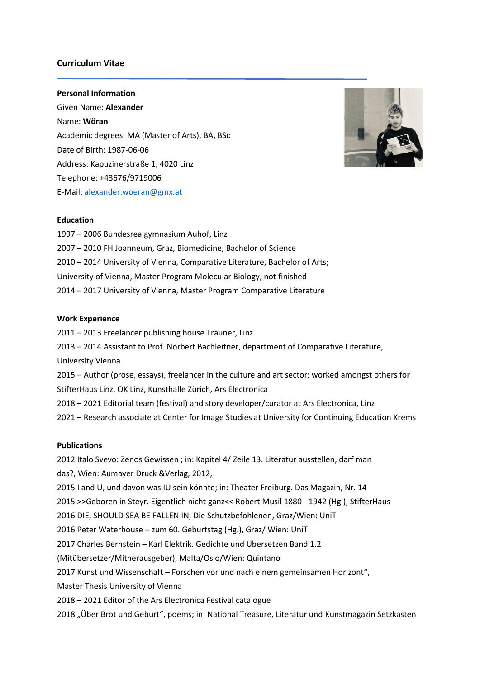## **Curriculum Vitae**

### **Personal Information**

Given Name: **Alexander** Name: **Wöran** Academic degrees: MA (Master of Arts), BA, BSc Date of Birth: 1987-06-06 Address: Kapuzinerstraße 1, 4020 Linz Telephone: +43676/9719006 E-Mail[: alexander.woeran@gmx.at](mailto:alexander.woeran@gmx.at)



#### **Education**

– 2006 Bundesrealgymnasium Auhof, Linz – 2010 FH Joanneum, Graz, Biomedicine, Bachelor of Science – 2014 University of Vienna, Comparative Literature, Bachelor of Arts; University of Vienna, Master Program Molecular Biology, not finished – 2017 University of Vienna, Master Program Comparative Literature

#### **Work Experience**

– 2013 Freelancer publishing house Trauner, Linz – 2014 Assistant to Prof. Norbert Bachleitner, department of Comparative Literature, University Vienna – Author (prose, essays), freelancer in the culture and art sector; worked amongst others for StifterHaus Linz, OK Linz, Kunsthalle Zürich, Ars Electronica – 2021 Editorial team (festival) and story developer/curator at Ars Electronica, Linz – Research associate at Center for Image Studies at University for Continuing Education Krems

## **Publications**

2012 Italo Svevo: Zenos Gewissen ; in: Kapitel 4/ Zeile 13. Literatur ausstellen, darf man das?, Wien: Aumayer Druck &Verlag, 2012, 2015 I and U, und davon was IU sein könnte; in: Theater Freiburg. Das Magazin, Nr. 14 2015 >>Geboren in Steyr. Eigentlich nicht ganz<< Robert Musil 1880 - 1942 (Hg.), StifterHaus 2016 DIE, SHOULD SEA BE FALLEN IN, Die Schutzbefohlenen, Graz/Wien: UniT 2016 Peter Waterhouse – zum 60. Geburtstag (Hg.), Graz/ Wien: UniT 2017 Charles Bernstein – Karl Elektrik. Gedichte und Übersetzen Band 1.2 (Mitübersetzer/Mitherausgeber), Malta/Oslo/Wien: Quintano 2017 Kunst und Wissenschaft – Forschen vor und nach einem gemeinsamen Horizont", Master Thesis University of Vienna 2018 – 2021 Editor of the Ars Electronica Festival catalogue 2018 "Über Brot und Geburt", poems; in: National Treasure, Literatur und Kunstmagazin Setzkasten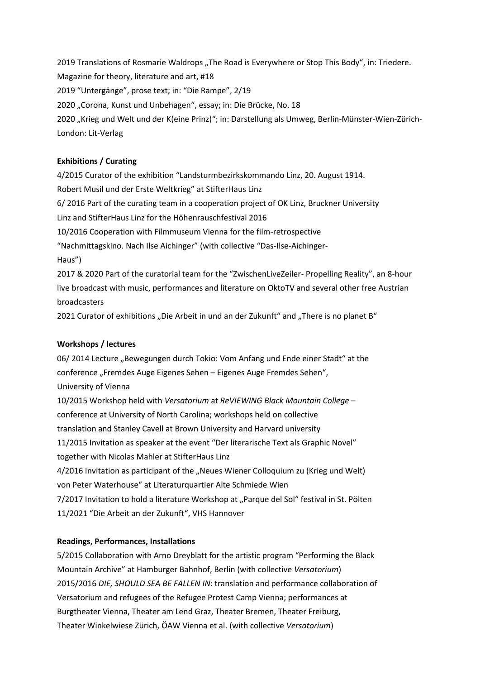2019 Translations of Rosmarie Waldrops "The Road is Everywhere or Stop This Body", in: Triedere. Magazine for theory, literature and art, #18 2019 "Untergänge", prose text; in: "Die Rampe", 2/19 2020 "Corona, Kunst und Unbehagen", essay; in: Die Brücke, No. 18 2020 "Krieg und Welt und der K(eine Prinz)"; in: Darstellung als Umweg, Berlin-Münster-Wien-Zürich-London: Lit-Verlag

## **Exhibitions / Curating**

4/2015 Curator of the exhibition "Landsturmbezirkskommando Linz, 20. August 1914. Robert Musil und der Erste Weltkrieg" at StifterHaus Linz 6/ 2016 Part of the curating team in a cooperation project of OK Linz, Bruckner University Linz and StifterHaus Linz for the Höhenrauschfestival 2016 10/2016 Cooperation with Filmmuseum Vienna for the film-retrospective "Nachmittagskino. Nach Ilse Aichinger" (with collective "Das-Ilse-Aichinger-Haus") 2017 & 2020 Part of the curatorial team for the "ZwischenLiveZeiler- Propelling Reality", an 8-hour live broadcast with music, performances and literature on OktoTV and several other free Austrian broadcasters

2021 Curator of exhibitions "Die Arbeit in und an der Zukunft" and "There is no planet B"

## **Workshops / lectures**

06/ 2014 Lecture "Bewegungen durch Tokio: Vom Anfang und Ende einer Stadt" at the conference "Fremdes Auge Eigenes Sehen – Eigenes Auge Fremdes Sehen", University of Vienna 10/2015 Workshop held with *Versatorium* at *ReVIEWING Black Mountain College* – conference at University of North Carolina; workshops held on collective translation and Stanley Cavell at Brown University and Harvard university 11/2015 Invitation as speaker at the event "Der literarische Text als Graphic Novel" together with Nicolas Mahler at StifterHaus Linz 4/2016 Invitation as participant of the "Neues Wiener Colloquium zu (Krieg und Welt) von Peter Waterhouse" at Literaturquartier Alte Schmiede Wien 7/2017 Invitation to hold a literature Workshop at "Parque del Sol" festival in St. Pölten 11/2021 "Die Arbeit an der Zukunft", VHS Hannover

# **Readings, Performances, Installations**

5/2015 Collaboration with Arno Dreyblatt for the artistic program "Performing the Black Mountain Archive" at Hamburger Bahnhof, Berlin (with collective *Versatorium*) 2015/2016 *DIE, SHOULD SEA BE FALLEN IN*: translation and performance collaboration of Versatorium and refugees of the Refugee Protest Camp Vienna; performances at Burgtheater Vienna, Theater am Lend Graz, Theater Bremen, Theater Freiburg, Theater Winkelwiese Zürich, ÖAW Vienna et al. (with collective *Versatorium*)